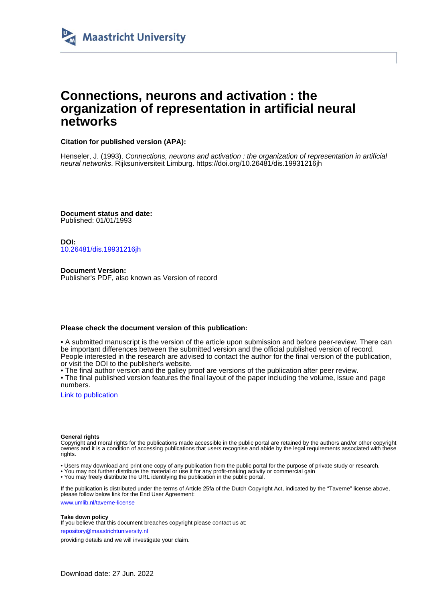

## **Connections, neurons and activation : the organization of representation in artificial neural networks**

### **Citation for published version (APA):**

Henseler, J. (1993). Connections, neurons and activation : the organization of representation in artificial neural networks. Rijksuniversiteit Limburg.<https://doi.org/10.26481/dis.19931216jh>

**Document status and date:** Published: 01/01/1993

**DOI:** [10.26481/dis.19931216jh](https://doi.org/10.26481/dis.19931216jh)

**Document Version:** Publisher's PDF, also known as Version of record

### **Please check the document version of this publication:**

• A submitted manuscript is the version of the article upon submission and before peer-review. There can be important differences between the submitted version and the official published version of record. People interested in the research are advised to contact the author for the final version of the publication, or visit the DOI to the publisher's website.

• The final author version and the galley proof are versions of the publication after peer review.

• The final published version features the final layout of the paper including the volume, issue and page numbers.

[Link to publication](https://cris.maastrichtuniversity.nl/en/publications/9a98b373-0e3b-4cd9-884d-35800c578da9)

#### **General rights**

Copyright and moral rights for the publications made accessible in the public portal are retained by the authors and/or other copyright owners and it is a condition of accessing publications that users recognise and abide by the legal requirements associated with these rights.

- Users may download and print one copy of any publication from the public portal for the purpose of private study or research.
- You may not further distribute the material or use it for any profit-making activity or commercial gain
- You may freely distribute the URL identifying the publication in the public portal.

If the publication is distributed under the terms of Article 25fa of the Dutch Copyright Act, indicated by the "Taverne" license above, please follow below link for the End User Agreement:

www.umlib.nl/taverne-license

#### **Take down policy**

If you believe that this document breaches copyright please contact us at: repository@maastrichtuniversity.nl

providing details and we will investigate your claim.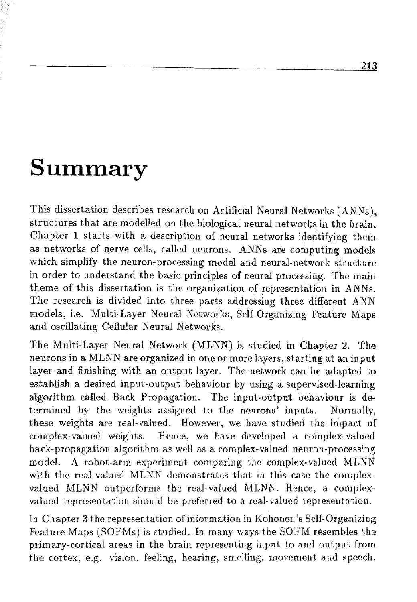# Summary

This dissertation describes research on Artificial Neural Networks (ANNs), structures that are modelled on the biological neural networks in the brain. Chapter 1 starts with a description of neural networks identifying them as networks of nerve cells, called neurons. ANNs are computing models which simplify the neuron-processing model and neural-network structure in order to understand the basic principles of neural processing. The main theme of this dissertation is the organization of representation in ANNs. The research is divided into three parts addressing three different ANN models, i.e. Multi-Layer Neural Networks, Self-Organizing Feature Maps and oscillating Cellular Neurd Networks.

The Multi-Layer Neurd Network (MLMN) is studied in Chapter 2. The neurons in a MLNN are organized in one or more layers, starting at an input layer and finishing with an output layer. The network can be adapted to establish a desired input-output behaviour by using a supervised-learning algorithm called Back Propagation. The input-output behaviour is determined by the weights assigned to the neurons' inputs. Normally, these weights are real-valued. However, we have studied the impact of complex-valued weights. Hence, we have developed a complex-valued hack-propagation algorithm as well as a complex-valued neuron-processing model. A robot-arm experiment comparing the complex-valued MLNN with the real-valued MLNN demonstrates that in this case the complexvalued MLNN outperforms the real-valued MLNN. Hence, a complexvalued representation should be preferred to a real-valued representation.

h Chapter **3** the representation of information in Kohonen's Self-Organizing Feature Maps (SOFMs) is studied. In many ways the SOFM resembles the primary-cortical areas in the brain representing input to and output from the cortex, e.g. vision, feeling, hearing, smelling, movement and speech.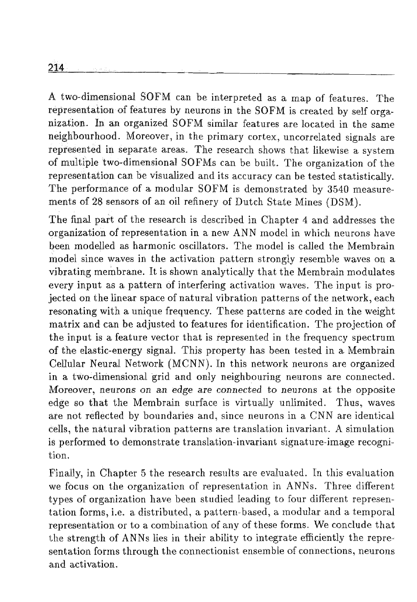**A** Iwo-dimensional SOEM can be interpreted as a map of features. The representation of features by neurons in the SOFM is created by self organization. In an organized SOFM similar features are located in the same neighbourhood. Moreover, in the primary cortex, uncorrelated signals are represented in separate areas. The research shows that likewise a system of multiple two-dimensional SOFMs can be built. The organization of the representation can be visualized and its accuracy can be tested statistically. The performance of a modular SOFM is demonstrated by 3540 measurements of 28 sensors of an oil refinery of Dutch State Mines (DSM).

The final part of the research is described in Chapter 4 and addresses the organization of representation in a new ANN model in which neurons have been modelled as harmonic oscillators. The model is called the Membrain model since waves in the activation pattern strongly resemble waves on a vibrating membrane. It is shown analytically that the Membrain modulates every input as a pattern of interfering activation waves. The input is projected on the linear space of natural vibration patterns of the network, each resonating with a unique frequency. These patterns are coded in the weight matrix and can be adjusted to features for identification. The projection of the input is a feature vector that is represented in the frequency spectrum of the elastic-energy signd. This property has been tested in a Membrain Cellular Neural Network (MCNN). In this network neurons are organized in a two-dimensional grid and only neighbouring neurons are connected. Morcover, neurons on *an* edge *are* cannected to neurons at the oppoaite edge so that the Membrain surface is virtually unlimited. Thus, waves are not reflected by boundaries and, since neurons in a CNN are identical cells, the natural vibration patterns are translation invariant. A simulation is performed to demonstrate translation-invariant signature-image recognition.

Finally, in Chapter 5 the research results are evaluated. In this evaluation we focus on the organization of representation in ANNs. Three different types of organization have been studied leading to four different representation forms, i.e. a distributed, a pattern-based, a modular and a temporal representation or to a combination of any of these forms. We conclude that the strength of ANNs lies in their ability to integrate efficiently the representation forms through the connectionist ensemble of connections, neurons and activation.

214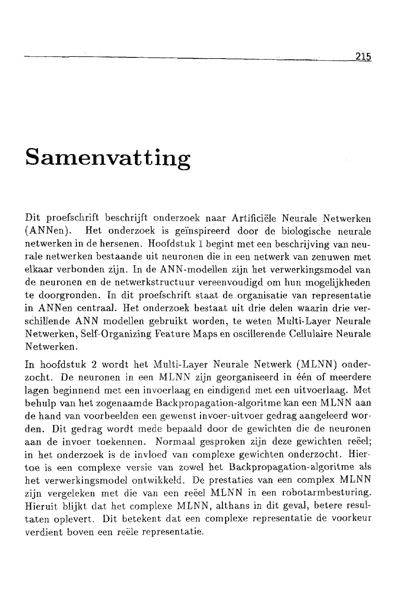# **Samenvatting**

Dit proefschrift beschrijft onderzoek naar Artificiële Neurale Netwerken (ANNen). Het onderzoek is geïnspireerd door de biologische neurale netwerken in de hersenen. Hoofdstuk 1 begint met een beschrijving van neurale netwerken bestaande uit neuronen die in een netwerk van zenuwen met elkaar verbonden zijn. In de ANN-modellen zijn het verwerkingsmodel van de neuronen en de netwerkstructuur vereenvoudigd om hun mogelijkheden te doorgronden. In dit proefschrift staat de organisatie van representatie in ANNen centraal. Het onderzoek bestaat uit drie delen waarin drie verschillende ANN modellen gebruikt worden, te weten Multi-Layer Neurale Netwerken, Self-Organizing Feature Maps en oscillerende Cellulaire Neurale Netwerken.

In hoofdstuk 2 wordt het Multi-Layer Neurale Netwerk (MLNN) onderzocht. De neuronen in een MLNN zijn georganiseerd in één of meerdere lagen beginnend met een invoerlaag en eindigend met een uitvoerlaag. Met behulp van het zogenaamde Backpropagation-algoritme kan een MLNN aan de hand van voorbeelden een gewenst invoer-uitvoer gedrag aangeleerd worden. Dit gedrag wordt mede bepaald door de gewichten die de neuronen aan de invoer toekennen. Normaal gesproken zijn deze gewichten reëel; in het onderzoek is de invloed van complexe gewichten onderzocht. Hiertoe is een complexe versie van zowel het Backpropagation-algoritme als het verwerkingsmodel ontwikkeld. De prestaties van een complex MLNN zijn vergeleken met die van een reëel MLNN in een robotarmbesturing. Hieruit blijkt dat het complexe MLNN, althans in dit geval, betere resultaten oplevert. Dit betekent dat een complexe representatie de voorkeur verdient boveai een reële representatie.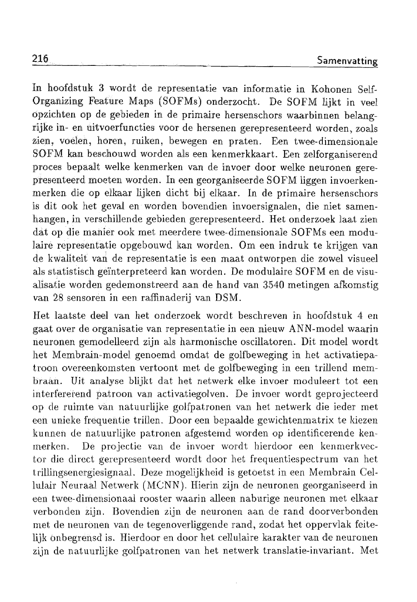In hoofdstuk 3 wordt de representatie van informatie in Kohonen Self-Organizing Feature Maps (SOFMs) onderzocht. De SOFM lijkt in veel opzichten op de gebieden in de primaire hersenschors waarbinnen belangrijke in- en uitvoerfuncties voor de hersenen gerepresenteerd worden, zoals zien, voelen, horen, ruiken, bewegen en praten. Een twee-dimensionale SOFM kan beschouwd worden als een kenmerkkaart. Een zelforganiserend proces bepadt welke kenmerken van de invoer door welke neuronen gerepresenteerd moeten worden. In een georganiseerde SOFM liggen invoerkenmerken die op elkaar lijken dicht bij elkaar. In de primaire hersenschors is dit ook het geval en worden bovendien invoersignalen, die niet samenhangen, in verschillende gebieden gerepresenteerd. Het onderzoek laat zien dat op die manier ook rnet meerdere twee-dimensionale SOFMs een modulaire represeratatie opgebouwd kan worden. Om een indruk te krijgen van de kwaliteit van de representatie is een maat ontworpen die zowel visueel als statistisch geïnterpreteerd kan worden. De modulaire SOFM en de visualisatie worden gedemonstreerd aan de hand van 3540 metingen afkomstig van 28 sensoren in een raffinaderij van DSM.

Het laatste deel van het onderzoek wordt beschreven in hoofdstuk 4 en gaat over de organisatie van representatie in een nieuw ANN-model waarin neuronen gemodelleerd zijn als harmonische oscillatoren. Dit model wordt het Membrain-model genoemd omdat de golfbeweging in het activatiepatroon overeenkomsten vertoont met de golfbeweging in een trillend membraan. Uit analyse blijkt dat het netwerk elke invoer moduleert tot een interfererend patroon van activatiegolven. De invoer wordt geprojecteerd op de ruimte van natuurlijke golfpatronen van het netwerk die ieder met een unieke frequentie trillen. Door een bepaalde gewichtenmatrix te kiezen kunnen de natuurlijke patronen afgestemd worden op identificerende kenmerken. De projectie van de invoer wordt hierdoor een kenmerkvector die direct gerepresenteerd wordt door het frequentiespectrum van het trillingsenergiesignaal. Deze mogelijkheid is getoetst in een Membrain Cellulair Neuraal Netwerk (MCNN). Hierin zijn de neuronen georganiseerd in een twee-dimensionaal rooster waarin alleen naburige neuronen met elkaar verbonden zijn. Bovendien zijn de neuronen aan de rand doorverbonden met de neuronen van de tegenoverliggende rand, zodat het oppervlak feitelijk onbegrensd is. Hierdoor en door het cellulaire karakter van de neuronen zijn de natuurlijke golfpatronen van het netwerk translatie-invariant. Met